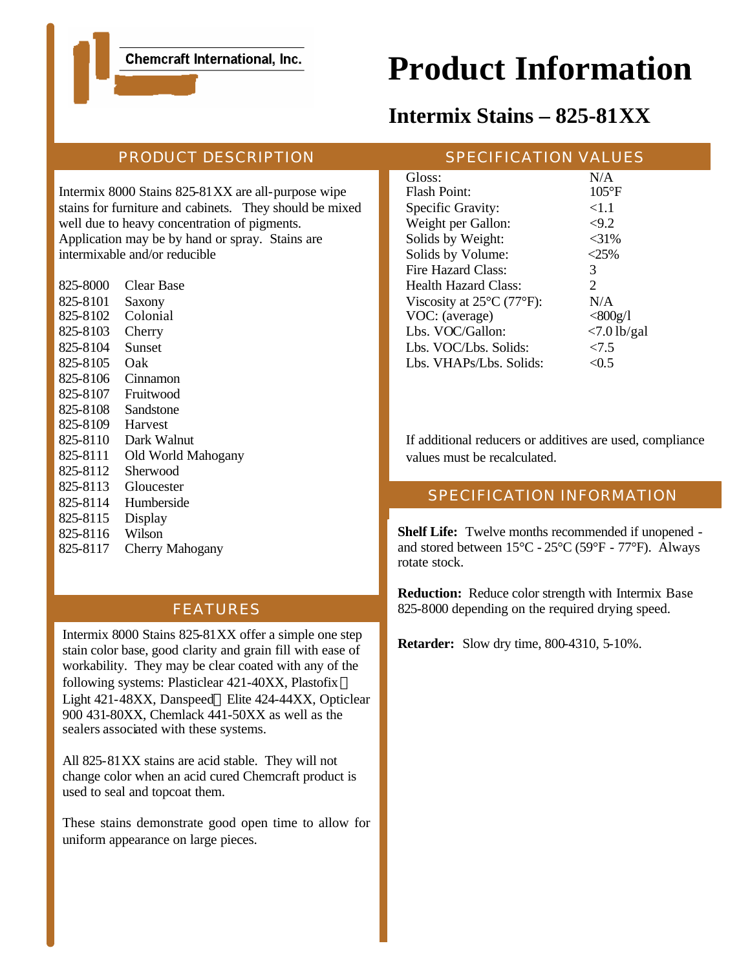Chemcraft International, Inc.

# **Product Information**

# **Intermix Stains – 825-81XX**

# PRODUCT DESCRIPTION

Intermix 8000 Stains 825-81XX are all-purpose wipe stains for furniture and cabinets. They should be mixed well due to heavy concentration of pigments. Application may be by hand or spray. Stains are intermixable and/or reducible

825-8000 Clear Base 825-8101 Saxony 825-8102 Colonial 825-8103 Cherry 825-8104 Sunset 825-8105 Oak 825-8106 Cinnamon 825-8107 Fruitwood 825-8108 Sandstone 825-8109 Harvest 825-8110 Dark Walnut 825-8111 Old World Mahogany 825-8112 Sherwood 825-8113 Gloucester 825-8114 Humberside 825-8115 Display 825-8116 Wilson 825-8117 Cherry Mahogany

## FEATURES

Intermix 8000 Stains 825-81XX offer a simple one step stain color base, good clarity and grain fill with ease of workability. They may be clear coated with any of the following systems: Plasticlear 421-40XX, Plastofix Light 421-48XX, Danspeed® Elite 424-44XX, Opticlear 900 431-80XX, Chemlack 441-50XX as well as the sealers associated with these systems.

All 825-81XX stains are acid stable. They will not change color when an acid cured Chemcraft product is used to seal and topcoat them.

These stains demonstrate good open time to allow for uniform appearance on large pieces.

#### SPECIFICATION VALUES

| Gloss:                                         | N/A            |
|------------------------------------------------|----------------|
| Flash Point:                                   | $105^{\circ}F$ |
| Specific Gravity:                              | ${<}1.1$       |
| Weight per Gallon:                             | < 9.2          |
| Solids by Weight:                              | $<$ 31%        |
| Solids by Volume:                              | $<25\%$        |
| Fire Hazard Class:                             | 3              |
| <b>Health Hazard Class:</b>                    | 2              |
| Viscosity at $25^{\circ}$ C (77 $^{\circ}$ F): | N/A            |
| VOC: (average)                                 | $<$ 800g/1     |
| Lbs. VOC/Gallon:                               | $<7.0$ lb/gal  |
| Lbs. VOC/Lbs. Solids:                          | <7.5           |
| Lbs. VHAPs/Lbs. Solids:                        | < 0.5          |
|                                                |                |

If additional reducers or additives are used, compliance values must be recalculated.

### SPECIFICATION INFORMATION

**Shelf Life:** Twelve months recommended if unopened and stored between 15°C - 25°C (59°F - 77°F). Always rotate stock.

**Reduction:** Reduce color strength with Intermix Base 825-8000 depending on the required drying speed.

**Retarder:** Slow dry time, 800-4310, 5-10%.